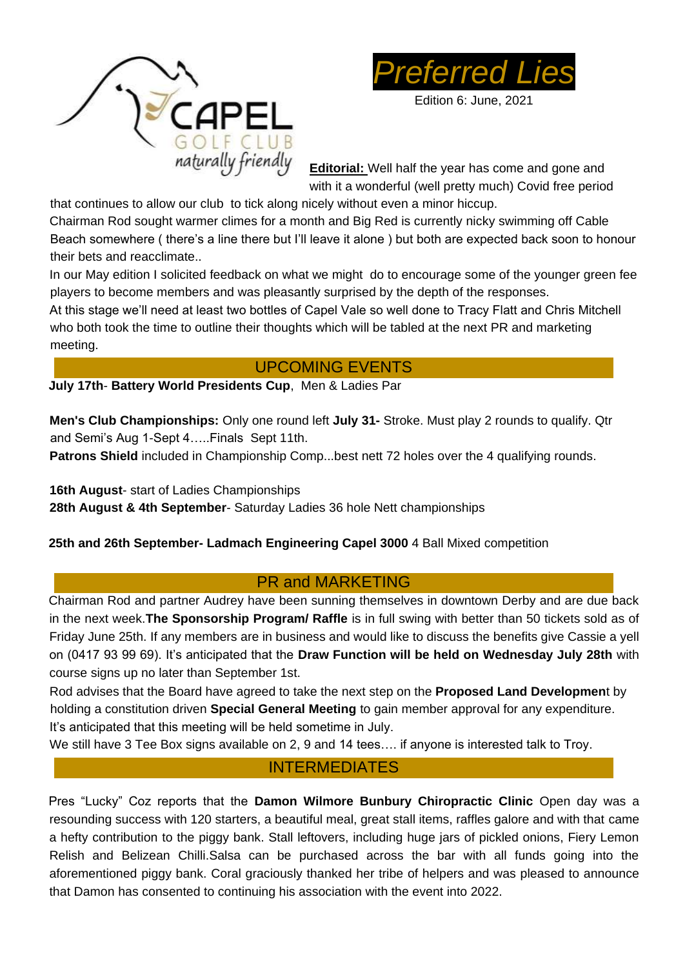



Edition 6: June, 2021

**Editorial:** Well half the year has come and gone and with it a wonderful (well pretty much) Covid free period

that continues to allow our club to tick along nicely without even a minor hiccup. Chairman Rod sought warmer climes for a month and Big Red is currently nicky swimming off Cable Beach somewhere ( there's a line there but I'll leave it alone ) but both are expected back soon to honour their bets and reacclimate..

In our May edition I solicited feedback on what we might do to encourage some of the younger green fee players to become members and was pleasantly surprised by the depth of the responses.

At this stage we'll need at least two bottles of Capel Vale so well done to Tracy Flatt and Chris Mitchell who both took the time to outline their thoughts which will be tabled at the next PR and marketing meeting.

# UPCOMING EVENTS

**July 17th**- **Battery World Presidents Cup**, Men & Ladies Par

**Men's Club Championships:** Only one round left **July 31-** Stroke. Must play 2 rounds to qualify. Qtr and Semi's Aug 1-Sept 4…..Finals Sept 11th.

**Patrons Shield** included in Championship Comp...best nett 72 holes over the 4 qualifying rounds.

**16th August**- start of Ladies Championships

**28th August & 4th September**- Saturday Ladies 36 hole Nett championships

### **25th and 26th September- Ladmach Engineering Capel 3000** 4 Ball Mixed competition

## PR and MARKETING

Chairman Rod and partner Audrey have been sunning themselves in downtown Derby and are due back in the next week.**The Sponsorship Program/ Raffle** is in full swing with better than 50 tickets sold as of Friday June 25th. If any members are in business and would like to discuss the benefits give Cassie a yell on (0417 93 99 69). It's anticipated that the **Draw Function will be held on Wednesday July 28th** with course signs up no later than September 1st.

Rod advises that the Board have agreed to take the next step on the **Proposed Land Developmen**t by holding a constitution driven **Special General Meeting** to gain member approval for any expenditure. It's anticipated that this meeting will be held sometime in July.

We still have 3 Tee Box signs available on 2, 9 and 14 tees…. if anyone is interested talk to Troy.

### INTERMEDIATES

Pres "Lucky" Coz reports that the **Damon Wilmore Bunbury Chiropractic Clinic** Open day was a resounding success with 120 starters, a beautiful meal, great stall items, raffles galore and with that came a hefty contribution to the piggy bank. Stall leftovers, including huge jars of pickled onions, Fiery Lemon Relish and Belizean Chilli.Salsa can be purchased across the bar with all funds going into the aforementioned piggy bank. Coral graciously thanked her tribe of helpers and was pleased to announce that Damon has consented to continuing his association with the event into 2022.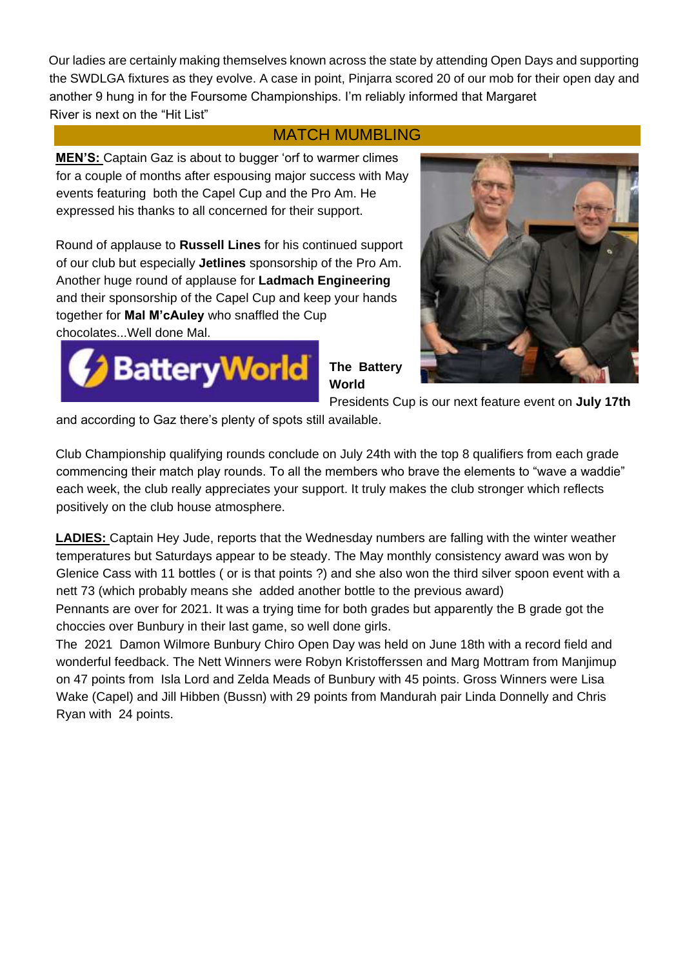Our ladies are certainly making themselves known across the state by attending Open Days and supporting the SWDLGA fixtures as they evolve. A case in point, Pinjarra scored 20 of our mob for their open day and another 9 hung in for the Foursome Championships. I'm reliably informed that Margaret River is next on the "Hit List"

## MATCH MUMBLING

**MEN'S:** Captain Gaz is about to bugger 'orf to warmer climes for a couple of months after espousing major success with May events featuring both the Capel Cup and the Pro Am. He expressed his thanks to all concerned for their support.

Round of applause to **Russell Lines** for his continued support of our club but especially **Jetlines** sponsorship of the Pro Am. Another huge round of applause for **Ladmach Engineering**  and their sponsorship of the Capel Cup and keep your hands together for **Mal M'cAuley** who snaffled the Cup chocolates...Well done Mal.



**The Battery World** 



Presidents Cup is our next feature event on **July 17th** 

and according to Gaz there's plenty of spots still available.

Club Championship qualifying rounds conclude on July 24th with the top 8 qualifiers from each grade commencing their match play rounds. To all the members who brave the elements to "wave a waddie" each week, the club really appreciates your support. It truly makes the club stronger which reflects positively on the club house atmosphere.

**LADIES:** Captain Hey Jude, reports that the Wednesday numbers are falling with the winter weather temperatures but Saturdays appear to be steady. The May monthly consistency award was won by Glenice Cass with 11 bottles ( or is that points ?) and she also won the third silver spoon event with a nett 73 (which probably means she added another bottle to the previous award)

Pennants are over for 2021. It was a trying time for both grades but apparently the B grade got the choccies over Bunbury in their last game, so well done girls.

The 2021 Damon Wilmore Bunbury Chiro Open Day was held on June 18th with a record field and wonderful feedback. The Nett Winners were Robyn Kristofferssen and Marg Mottram from Manjimup on 47 points from Isla Lord and Zelda Meads of Bunbury with 45 points. Gross Winners were Lisa Wake (Capel) and Jill Hibben (Bussn) with 29 points from Mandurah pair Linda Donnelly and Chris Ryan with 24 points.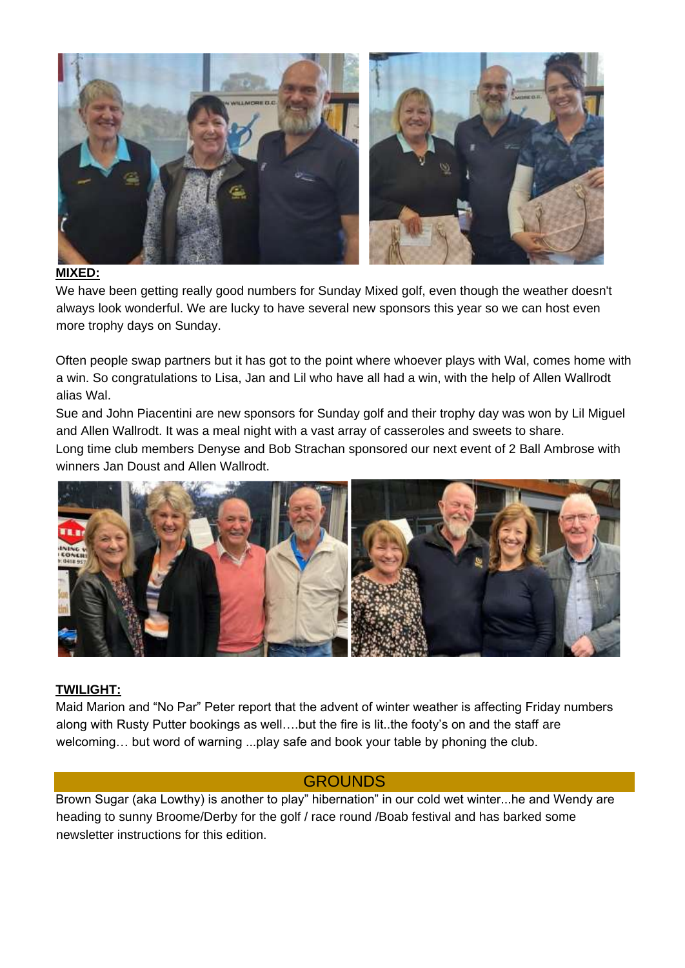

#### **MIXED:**

We have been getting really good numbers for Sunday Mixed golf, even though the weather doesn't always look wonderful. We are lucky to have several new sponsors this year so we can host even more trophy days on Sunday.

Often people swap partners but it has got to the point where whoever plays with Wal, comes home with a win. So congratulations to Lisa, Jan and Lil who have all had a win, with the help of Allen Wallrodt alias Wal.

Sue and John Piacentini are new sponsors for Sunday golf and their trophy day was won by Lil Miguel and Allen Wallrodt. It was a meal night with a vast array of casseroles and sweets to share. Long time club members Denyse and Bob Strachan sponsored our next event of 2 Ball Ambrose with winners Jan Doust and Allen Wallrodt.



#### **TWILIGHT:**

Maid Marion and "No Par" Peter report that the advent of winter weather is affecting Friday numbers along with Rusty Putter bookings as well….but the fire is lit..the footy's on and the staff are welcoming… but word of warning ...play safe and book your table by phoning the club.

### **GROUNDS**

Brown Sugar (aka Lowthy) is another to play" hibernation" in our cold wet winter...he and Wendy are heading to sunny Broome/Derby for the golf / race round /Boab festival and has barked some newsletter instructions for this edition.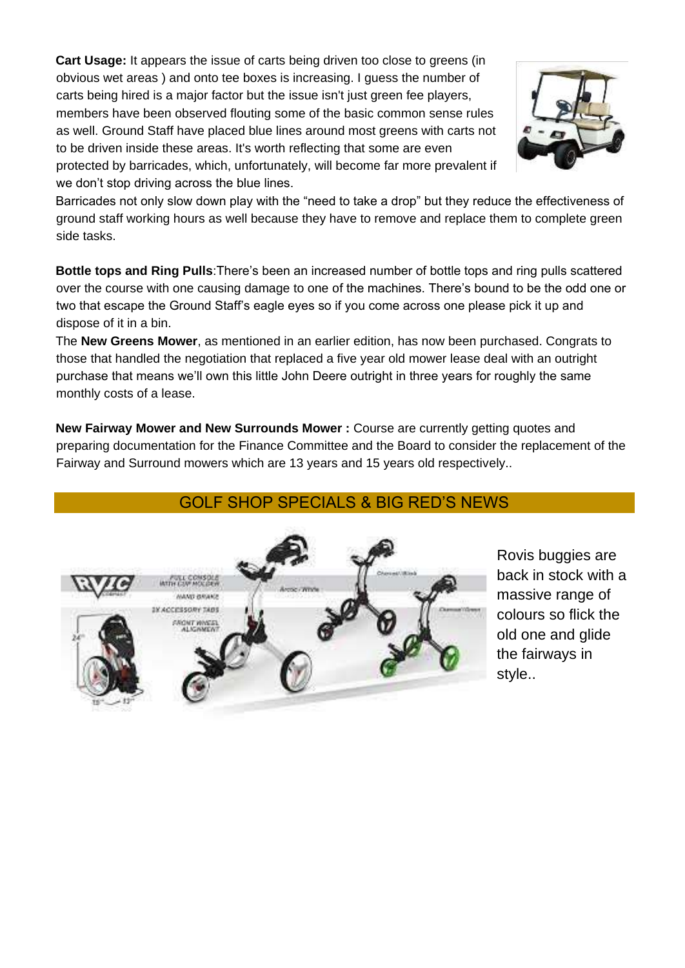**Cart Usage:** It appears the issue of carts being driven too close to greens (in obvious wet areas ) and onto tee boxes is increasing. I guess the number of carts being hired is a major factor but the issue isn't just green fee players, members have been observed flouting some of the basic common sense rules as well. Ground Staff have placed blue lines around most greens with carts not to be driven inside these areas. It's worth reflecting that some are even protected by barricades, which, unfortunately, will become far more prevalent if we don't stop driving across the blue lines.



Barricades not only slow down play with the "need to take a drop" but they reduce the effectiveness of ground staff working hours as well because they have to remove and replace them to complete green side tasks.

**Bottle tops and Ring Pulls**:There's been an increased number of bottle tops and ring pulls scattered over the course with one causing damage to one of the machines. There's bound to be the odd one or two that escape the Ground Staff's eagle eyes so if you come across one please pick it up and dispose of it in a bin.

The **New Greens Mower**, as mentioned in an earlier edition, has now been purchased. Congrats to those that handled the negotiation that replaced a five year old mower lease deal with an outright purchase that means we'll own this little John Deere outright in three years for roughly the same monthly costs of a lease.

**New Fairway Mower and New Surrounds Mower :** Course are currently getting quotes and preparing documentation for the Finance Committee and the Board to consider the replacement of the Fairway and Surround mowers which are 13 years and 15 years old respectively..

## GOLF SHOP SPECIALS & BIG RED'S NEWS



Rovis buggies are back in stock with a massive range of colours so flick the old one and glide the fairways in style..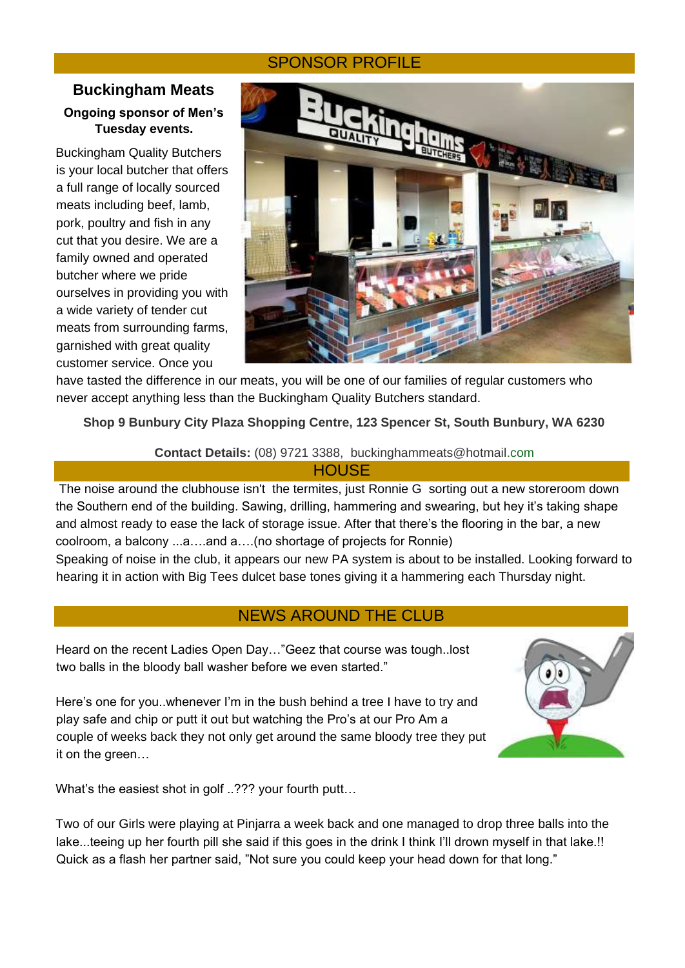### SPONSOR PROFILE

### **Buckingham Meats Ongoing sponsor of Men's Tuesday events.**

Buckingham Quality Butchers is your local butcher that offers a full range of locally sourced meats including beef, lamb, pork, poultry and fish in any cut that you desire. We are a family owned and operated butcher where we pride ourselves in providing you with a wide variety of tender cut meats from surrounding farms, garnished with great quality customer service. Once you



have tasted the difference in our meats, you will be one of our families of regular customers who never accept anything less than the Buckingham Quality Butchers standard.

**Shop 9 Bunbury City Plaza Shopping Centre, 123 Spencer St, South Bunbury, WA 6230**

**Contact Details:** (08) 9721 3388, buckinghammeats@hotmail.com

| <b>HOUSE</b> |  |  |
|--------------|--|--|
|              |  |  |

The noise around the clubhouse isn't the termites, just Ronnie G sorting out a new storeroom down the Southern end of the building. Sawing, drilling, hammering and swearing, but hey it's taking shape and almost ready to ease the lack of storage issue. After that there's the flooring in the bar, a new coolroom, a balcony ...a….and a….(no shortage of projects for Ronnie)

Speaking of noise in the club, it appears our new PA system is about to be installed. Looking forward to hearing it in action with Big Tees dulcet base tones giving it a hammering each Thursday night.

### NEWS AROUND THE CLUB

Heard on the recent Ladies Open Day…"Geez that course was tough..lost two balls in the bloody ball washer before we even started."

Here's one for you..whenever I'm in the bush behind a tree I have to try and play safe and chip or putt it out but watching the Pro's at our Pro Am a couple of weeks back they not only get around the same bloody tree they put it on the green…



What's the easiest shot in golf ..??? your fourth putt...

Two of our Girls were playing at Pinjarra a week back and one managed to drop three balls into the lake...teeing up her fourth pill she said if this goes in the drink I think I'll drown myself in that lake.!! Quick as a flash her partner said, "Not sure you could keep your head down for that long."